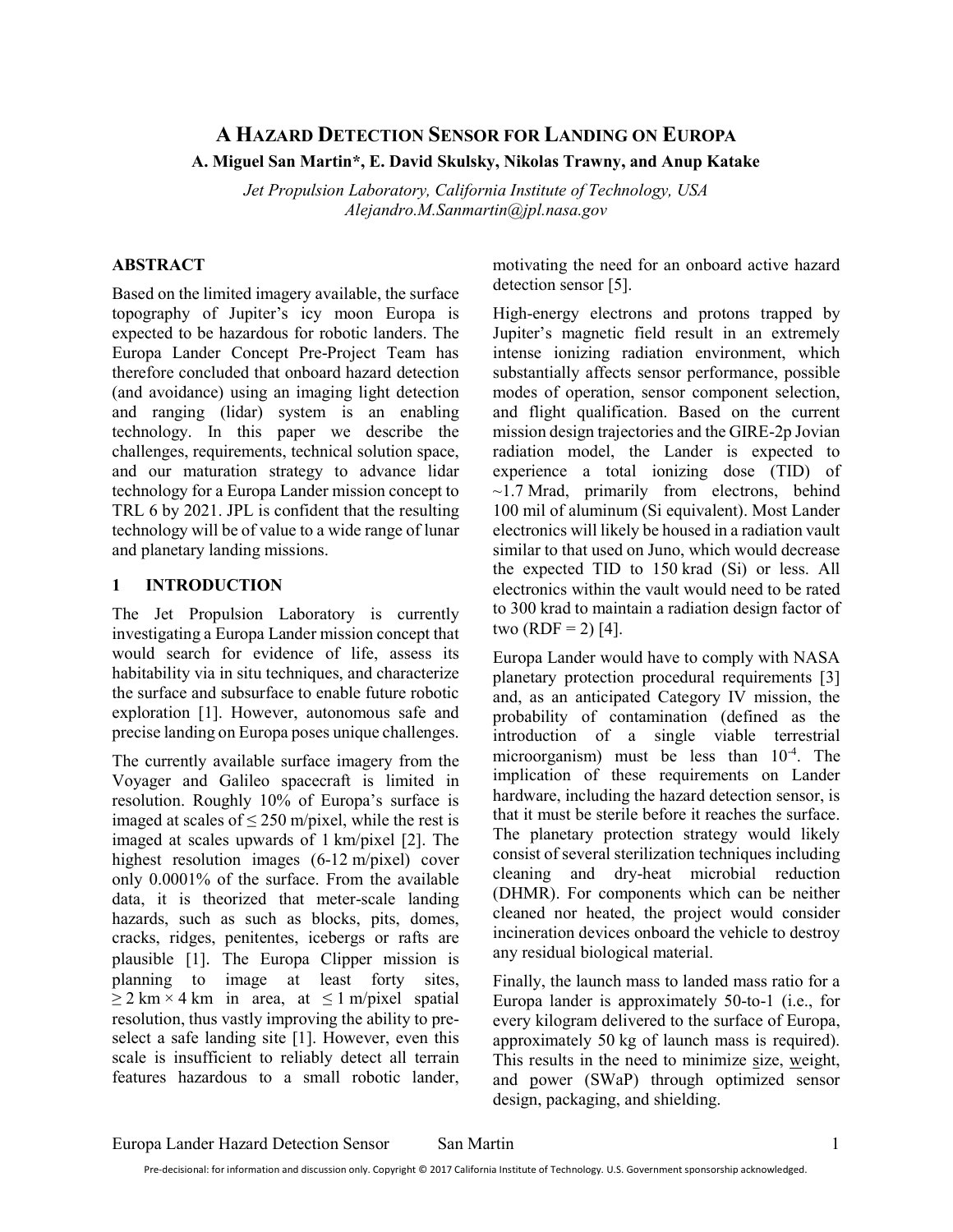# A HAZARD DETECTION SENSOR FOR LANDING ON EUROPA A. Miguel San Martin\*, E. David Skulsky, Nikolas Trawny, and Anup Katake

Jet Propulsion Laboratory, California Institute of Technology, USA Alejandro.M.Sanmartin@jpl.nasa.gov

## ABSTRACT

Based on the limited imagery available, the surface topography of Jupiter's icy moon Europa is expected to be hazardous for robotic landers. The Europa Lander Concept Pre-Project Team has therefore concluded that onboard hazard detection (and avoidance) using an imaging light detection and ranging (lidar) system is an enabling technology. In this paper we describe the challenges, requirements, technical solution space, and our maturation strategy to advance lidar technology for a Europa Lander mission concept to TRL 6 by 2021. JPL is confident that the resulting technology will be of value to a wide range of lunar and planetary landing missions.

### 1 INTRODUCTION

The Jet Propulsion Laboratory is currently investigating a Europa Lander mission concept that would search for evidence of life, assess its habitability via in situ techniques, and characterize the surface and subsurface to enable future robotic exploration [1]. However, autonomous safe and precise landing on Europa poses unique challenges.

The currently available surface imagery from the Voyager and Galileo spacecraft is limited in resolution. Roughly 10% of Europa's surface is imaged at scales of  $\leq$  250 m/pixel, while the rest is imaged at scales upwards of 1 km/pixel [2]. The highest resolution images (6-12 m/pixel) cover only 0.0001% of the surface. From the available data, it is theorized that meter-scale landing hazards, such as such as blocks, pits, domes, cracks, ridges, penitentes, icebergs or rafts are plausible [1]. The Europa Clipper mission is planning to image at least forty sites,  $\geq$  2 km × 4 km in area, at  $\leq$  1 m/pixel spatial resolution, thus vastly improving the ability to preselect a safe landing site [1]. However, even this scale is insufficient to reliably detect all terrain features hazardous to a small robotic lander,

motivating the need for an onboard active hazard detection sensor [5].

High-energy electrons and protons trapped by Jupiter's magnetic field result in an extremely intense ionizing radiation environment, which substantially affects sensor performance, possible modes of operation, sensor component selection, and flight qualification. Based on the current mission design trajectories and the GIRE-2p Jovian radiation model, the Lander is expected to experience a total ionizing dose (TID) of  $\sim$ 1.7 Mrad, primarily from electrons, behind 100 mil of aluminum (Si equivalent). Most Lander electronics will likely be housed in a radiation vault similar to that used on Juno, which would decrease the expected TID to 150 krad (Si) or less. All electronics within the vault would need to be rated to 300 krad to maintain a radiation design factor of two  $(RDF = 2)$  [4].

Europa Lander would have to comply with NASA planetary protection procedural requirements [3] and, as an anticipated Category IV mission, the probability of contamination (defined as the introduction of a single viable terrestrial microorganism) must be less than 10-4. The implication of these requirements on Lander hardware, including the hazard detection sensor, is that it must be sterile before it reaches the surface. The planetary protection strategy would likely consist of several sterilization techniques including cleaning and dry-heat microbial reduction (DHMR). For components which can be neither cleaned nor heated, the project would consider incineration devices onboard the vehicle to destroy any residual biological material.

Finally, the launch mass to landed mass ratio for a Europa lander is approximately 50-to-1 (i.e., for every kilogram delivered to the surface of Europa, approximately 50 kg of launch mass is required). This results in the need to minimize size, weight, and power (SWaP) through optimized sensor design, packaging, and shielding.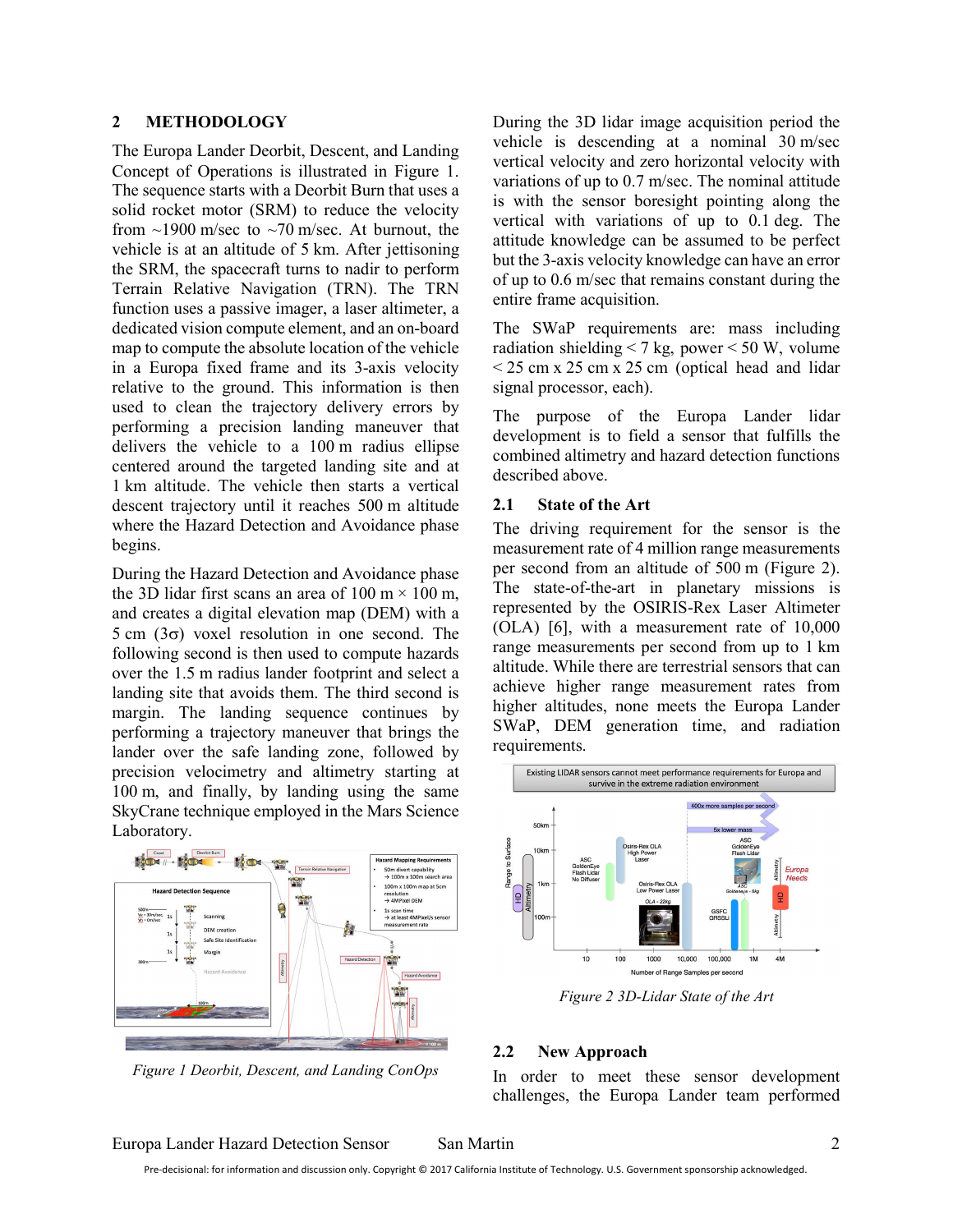#### 2 METHODOLOGY

The Europa Lander Deorbit, Descent, and Landing Concept of Operations is illustrated in Figure 1. The sequence starts with a Deorbit Burn that uses a solid rocket motor (SRM) to reduce the velocity from  $\sim$ 1900 m/sec to  $\sim$ 70 m/sec. At burnout, the vehicle is at an altitude of 5 km. After jettisoning the SRM, the spacecraft turns to nadir to perform Terrain Relative Navigation (TRN). The TRN function uses a passive imager, a laser altimeter, a dedicated vision compute element, and an on-board map to compute the absolute location of the vehicle in a Europa fixed frame and its 3-axis velocity relative to the ground. This information is then used to clean the trajectory delivery errors by performing a precision landing maneuver that delivers the vehicle to a 100 m radius ellipse centered around the targeted landing site and at 1 km altitude. The vehicle then starts a vertical descent trajectory until it reaches 500 m altitude where the Hazard Detection and Avoidance phase begins.

During the Hazard Detection and Avoidance phase the 3D lidar first scans an area of 100 m  $\times$  100 m, and creates a digital elevation map (DEM) with a  $5 \text{ cm } (3\sigma)$  voxel resolution in one second. The following second is then used to compute hazards over the 1.5 m radius lander footprint and select a landing site that avoids them. The third second is margin. The landing sequence continues by performing a trajectory maneuver that brings the lander over the safe landing zone, followed by precision velocimetry and altimetry starting at 100 m, and finally, by landing using the same SkyCrane technique employed in the Mars Science Laboratory.



Figure 1 Deorbit, Descent, and Landing ConOps

During the 3D lidar image acquisition period the vehicle is descending at a nominal 30 m/sec vertical velocity and zero horizontal velocity with variations of up to 0.7 m/sec. The nominal attitude is with the sensor boresight pointing along the vertical with variations of up to 0.1 deg. The attitude knowledge can be assumed to be perfect but the 3-axis velocity knowledge can have an error of up to 0.6 m/sec that remains constant during the entire frame acquisition.

The SWaP requirements are: mass including radiation shielding  $\leq$  7 kg, power  $\leq$  50 W, volume  $<$  25 cm x 25 cm x 25 cm (optical head and lidar signal processor, each).

The purpose of the Europa Lander lidar development is to field a sensor that fulfills the combined altimetry and hazard detection functions described above.

#### 2.1 State of the Art

The driving requirement for the sensor is the measurement rate of 4 million range measurements per second from an altitude of 500 m (Figure 2). The state-of-the-art in planetary missions is represented by the OSIRIS-Rex Laser Altimeter (OLA) [6], with a measurement rate of 10,000 range measurements per second from up to 1 km altitude. While there are terrestrial sensors that can achieve higher range measurement rates from higher altitudes, none meets the Europa Lander SWaP, DEM generation time, and radiation requirements.



Figure 2 3D-Lidar State of the Art

#### 2.2 New Approach

In order to meet these sensor development challenges, the Europa Lander team performed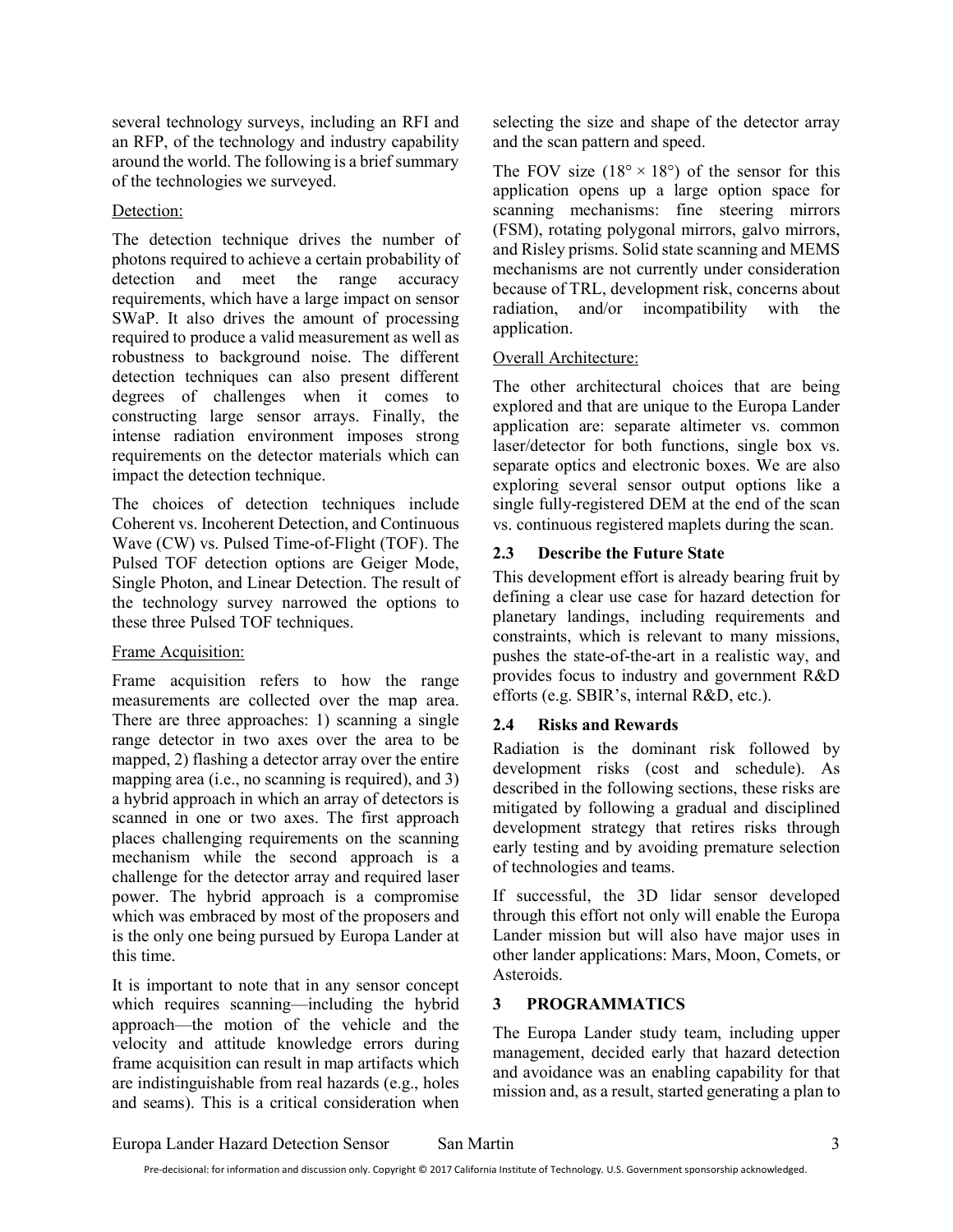several technology surveys, including an RFI and an RFP, of the technology and industry capability around the world. The following is a brief summary of the technologies we surveyed.

## Detection:

The detection technique drives the number of photons required to achieve a certain probability of detection and meet the range accuracy requirements, which have a large impact on sensor SWaP. It also drives the amount of processing required to produce a valid measurement as well as robustness to background noise. The different detection techniques can also present different degrees of challenges when it comes to constructing large sensor arrays. Finally, the intense radiation environment imposes strong requirements on the detector materials which can impact the detection technique.

The choices of detection techniques include Coherent vs. Incoherent Detection, and Continuous Wave (CW) vs. Pulsed Time-of-Flight (TOF). The Pulsed TOF detection options are Geiger Mode, Single Photon, and Linear Detection. The result of the technology survey narrowed the options to these three Pulsed TOF techniques.

# Frame Acquisition:

Frame acquisition refers to how the range measurements are collected over the map area. There are three approaches: 1) scanning a single range detector in two axes over the area to be mapped, 2) flashing a detector array over the entire mapping area (i.e., no scanning is required), and 3) a hybrid approach in which an array of detectors is scanned in one or two axes. The first approach places challenging requirements on the scanning mechanism while the second approach is a challenge for the detector array and required laser power. The hybrid approach is a compromise which was embraced by most of the proposers and is the only one being pursued by Europa Lander at this time.

It is important to note that in any sensor concept which requires scanning—including the hybrid approach—the motion of the vehicle and the velocity and attitude knowledge errors during frame acquisition can result in map artifacts which are indistinguishable from real hazards (e.g., holes and seams). This is a critical consideration when selecting the size and shape of the detector array and the scan pattern and speed.

The FOV size  $(18^{\circ} \times 18^{\circ})$  of the sensor for this application opens up a large option space for scanning mechanisms: fine steering mirrors (FSM), rotating polygonal mirrors, galvo mirrors, and Risley prisms. Solid state scanning and MEMS mechanisms are not currently under consideration because of TRL, development risk, concerns about radiation, and/or incompatibility with the application.

# Overall Architecture:

The other architectural choices that are being explored and that are unique to the Europa Lander application are: separate altimeter vs. common laser/detector for both functions, single box vs. separate optics and electronic boxes. We are also exploring several sensor output options like a single fully-registered DEM at the end of the scan vs. continuous registered maplets during the scan.

# 2.3 Describe the Future State

This development effort is already bearing fruit by defining a clear use case for hazard detection for planetary landings, including requirements and constraints, which is relevant to many missions, pushes the state-of-the-art in a realistic way, and provides focus to industry and government R&D efforts (e.g. SBIR's, internal R&D, etc.).

# 2.4 Risks and Rewards

Radiation is the dominant risk followed by development risks (cost and schedule). As described in the following sections, these risks are mitigated by following a gradual and disciplined development strategy that retires risks through early testing and by avoiding premature selection of technologies and teams.

If successful, the 3D lidar sensor developed through this effort not only will enable the Europa Lander mission but will also have major uses in other lander applications: Mars, Moon, Comets, or Asteroids.

# 3 PROGRAMMATICS

The Europa Lander study team, including upper management, decided early that hazard detection and avoidance was an enabling capability for that mission and, as a result, started generating a plan to

Europa Lander Hazard Detection Sensor San Martin 3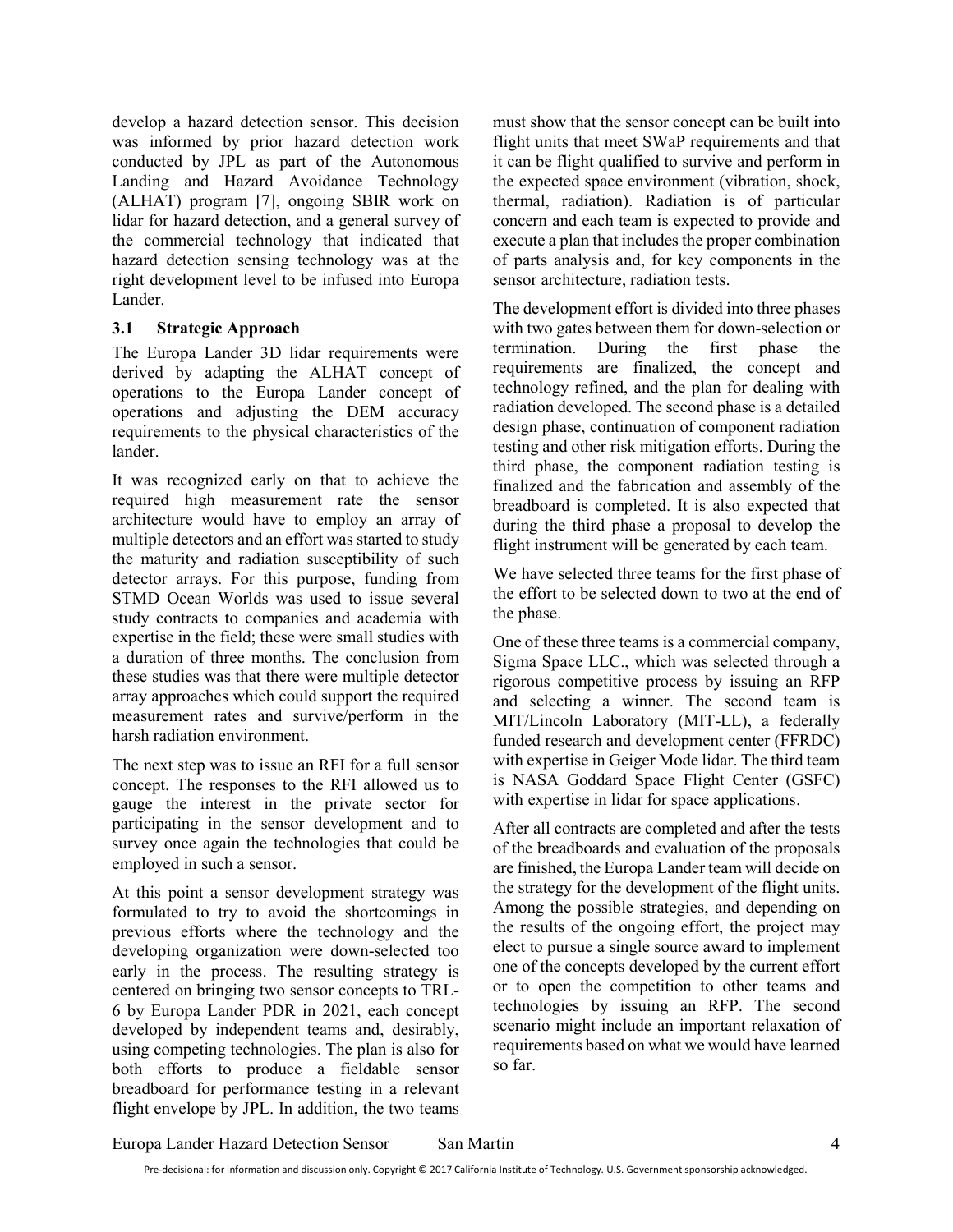develop a hazard detection sensor. This decision was informed by prior hazard detection work conducted by JPL as part of the Autonomous Landing and Hazard Avoidance Technology (ALHAT) program [7], ongoing SBIR work on lidar for hazard detection, and a general survey of the commercial technology that indicated that hazard detection sensing technology was at the right development level to be infused into Europa Lander.

### 3.1 Strategic Approach

The Europa Lander 3D lidar requirements were derived by adapting the ALHAT concept of operations to the Europa Lander concept of operations and adjusting the DEM accuracy requirements to the physical characteristics of the lander.

It was recognized early on that to achieve the required high measurement rate the sensor architecture would have to employ an array of multiple detectors and an effort was started to study the maturity and radiation susceptibility of such detector arrays. For this purpose, funding from STMD Ocean Worlds was used to issue several study contracts to companies and academia with expertise in the field; these were small studies with a duration of three months. The conclusion from these studies was that there were multiple detector array approaches which could support the required measurement rates and survive/perform in the harsh radiation environment.

The next step was to issue an RFI for a full sensor concept. The responses to the RFI allowed us to gauge the interest in the private sector for participating in the sensor development and to survey once again the technologies that could be employed in such a sensor.

At this point a sensor development strategy was formulated to try to avoid the shortcomings in previous efforts where the technology and the developing organization were down-selected too early in the process. The resulting strategy is centered on bringing two sensor concepts to TRL-6 by Europa Lander PDR in 2021, each concept developed by independent teams and, desirably, using competing technologies. The plan is also for both efforts to produce a fieldable sensor breadboard for performance testing in a relevant flight envelope by JPL. In addition, the two teams

must show that the sensor concept can be built into flight units that meet SWaP requirements and that it can be flight qualified to survive and perform in the expected space environment (vibration, shock, thermal, radiation). Radiation is of particular concern and each team is expected to provide and execute a plan that includes the proper combination of parts analysis and, for key components in the sensor architecture, radiation tests.

The development effort is divided into three phases with two gates between them for down-selection or termination. During the first phase the requirements are finalized, the concept and technology refined, and the plan for dealing with radiation developed. The second phase is a detailed design phase, continuation of component radiation testing and other risk mitigation efforts. During the third phase, the component radiation testing is finalized and the fabrication and assembly of the breadboard is completed. It is also expected that during the third phase a proposal to develop the flight instrument will be generated by each team.

We have selected three teams for the first phase of the effort to be selected down to two at the end of the phase.

One of these three teams is a commercial company, Sigma Space LLC., which was selected through a rigorous competitive process by issuing an RFP and selecting a winner. The second team is MIT/Lincoln Laboratory (MIT-LL), a federally funded research and development center (FFRDC) with expertise in Geiger Mode lidar. The third team is NASA Goddard Space Flight Center (GSFC) with expertise in lidar for space applications.

After all contracts are completed and after the tests of the breadboards and evaluation of the proposals are finished, the Europa Lander team will decide on the strategy for the development of the flight units. Among the possible strategies, and depending on the results of the ongoing effort, the project may elect to pursue a single source award to implement one of the concepts developed by the current effort or to open the competition to other teams and technologies by issuing an RFP. The second scenario might include an important relaxation of requirements based on what we would have learned so far.

Europa Lander Hazard Detection Sensor San Martin 4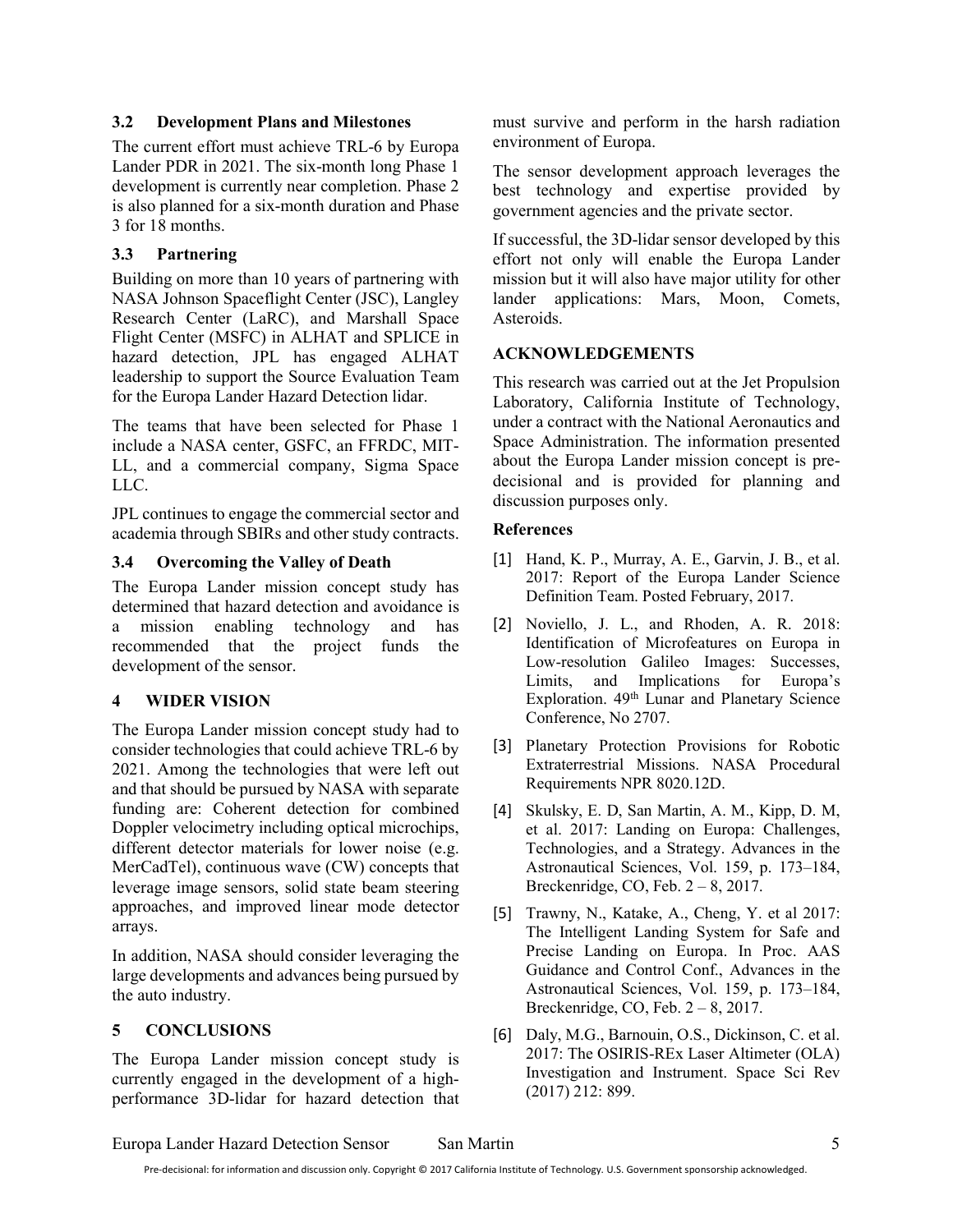### 3.2 Development Plans and Milestones

The current effort must achieve TRL-6 by Europa Lander PDR in 2021. The six-month long Phase 1 development is currently near completion. Phase 2 is also planned for a six-month duration and Phase 3 for 18 months.

# 3.3 Partnering

Building on more than 10 years of partnering with NASA Johnson Spaceflight Center (JSC), Langley Research Center (LaRC), and Marshall Space Flight Center (MSFC) in ALHAT and SPLICE in hazard detection, JPL has engaged ALHAT leadership to support the Source Evaluation Team for the Europa Lander Hazard Detection lidar.

The teams that have been selected for Phase 1 include a NASA center, GSFC, an FFRDC, MIT-LL, and a commercial company, Sigma Space LLC.

JPL continues to engage the commercial sector and academia through SBIRs and other study contracts.

## 3.4 Overcoming the Valley of Death

The Europa Lander mission concept study has determined that hazard detection and avoidance is a mission enabling technology and has recommended that the project funds the development of the sensor.

# 4 WIDER VISION

The Europa Lander mission concept study had to consider technologies that could achieve TRL-6 by 2021. Among the technologies that were left out and that should be pursued by NASA with separate funding are: Coherent detection for combined Doppler velocimetry including optical microchips, different detector materials for lower noise (e.g. MerCadTel), continuous wave (CW) concepts that leverage image sensors, solid state beam steering approaches, and improved linear mode detector arrays.

In addition, NASA should consider leveraging the large developments and advances being pursued by the auto industry.

# 5 CONCLUSIONS

The Europa Lander mission concept study is currently engaged in the development of a highperformance 3D-lidar for hazard detection that must survive and perform in the harsh radiation environment of Europa.

The sensor development approach leverages the best technology and expertise provided by government agencies and the private sector.

If successful, the 3D-lidar sensor developed by this effort not only will enable the Europa Lander mission but it will also have major utility for other lander applications: Mars, Moon, Comets, Asteroids.

### ACKNOWLEDGEMENTS

This research was carried out at the Jet Propulsion Laboratory, California Institute of Technology, under a contract with the National Aeronautics and Space Administration. The information presented about the Europa Lander mission concept is predecisional and is provided for planning and discussion purposes only.

### References

- [1] Hand, K. P., Murray, A. E., Garvin, J. B., et al. 2017: Report of the Europa Lander Science Definition Team. Posted February, 2017.
- [2] Noviello, J. L., and Rhoden, A. R. 2018: Identification of Microfeatures on Europa in Low-resolution Galileo Images: Successes, Limits, and Implications for Europa's Exploration. 49th Lunar and Planetary Science Conference, No 2707.
- [3] Planetary Protection Provisions for Robotic Extraterrestrial Missions. NASA Procedural Requirements NPR 8020.12D.
- [4] Skulsky, E. D, San Martin, A. M., Kipp, D. M, et al. 2017: Landing on Europa: Challenges, Technologies, and a Strategy. Advances in the Astronautical Sciences, Vol. 159, p. 173–184, Breckenridge, CO, Feb. 2 – 8, 2017.
- [5] Trawny, N., Katake, A., Cheng, Y. et al 2017: The Intelligent Landing System for Safe and Precise Landing on Europa. In Proc. AAS Guidance and Control Conf., Advances in the Astronautical Sciences, Vol. 159, p. 173–184, Breckenridge, CO, Feb. 2 – 8, 2017.
- [6] Daly, M.G., Barnouin, O.S., Dickinson, C. et al. 2017: The OSIRIS-REx Laser Altimeter (OLA) Investigation and Instrument. Space Sci Rev (2017) 212: 899.

Europa Lander Hazard Detection Sensor San Martin 5